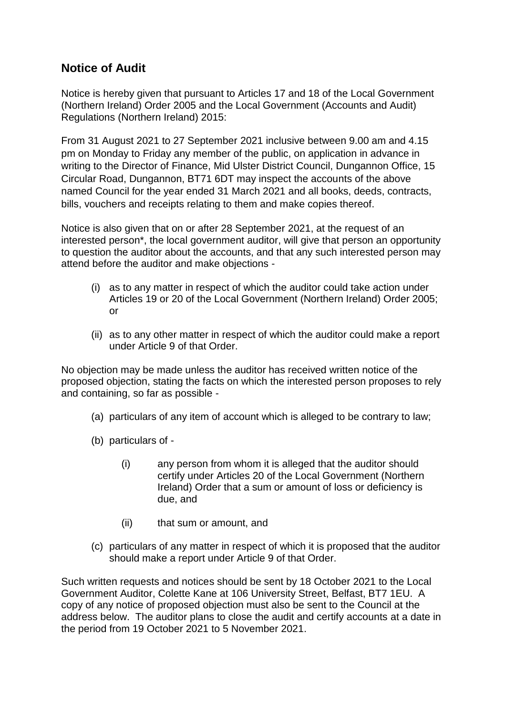## **Notice of Audit**

 Notice is hereby given that pursuant to Articles 17 and 18 of the Local Government (Northern Ireland) Order 2005 and the Local Government (Accounts and Audit) Regulations (Northern Ireland) 2015:

 From 31 August 2021 to 27 September 2021 inclusive between 9.00 am and 4.15 named Council for the year ended 31 March 2021 and all books, deeds, contracts, bills, vouchers and receipts relating to them and make copies thereof. pm on Monday to Friday any member of the public, on application in advance in writing to the Director of Finance, Mid Ulster District Council, Dungannon Office, 15 Circular Road, Dungannon, BT71 6DT may inspect the accounts of the above

 to question the auditor about the accounts, and that any such interested person may Notice is also given that on or after 28 September 2021, at the request of an interested person\*, the local government auditor, will give that person an opportunity attend before the auditor and make objections -

- Articles 19 or 20 of the Local Government (Northern Ireland) Order 2005; (i) as to any matter in respect of which the auditor could take action under or
- under Article 9 of that Order. (ii) as to any other matter in respect of which the auditor could make a report

No objection may be made unless the auditor has received written notice of the proposed objection, stating the facts on which the interested person proposes to rely and containing, so far as possible -

- (a) particulars of any item of account which is alleged to be contrary to law;
- (b) particulars of
	- (i) any person from whom it is alleged that the auditor should certify under Articles 20 of the Local Government (Northern Ireland) Order that a sum or amount of loss or deficiency is due, and
	- (ii) that sum or amount, and
- (c) particulars of any matter in respect of which it is proposed that the auditor should make a report under Article 9 of that Order.

 Such written requests and notices should be sent by 18 October 2021 to the Local Government Auditor, Colette Kane at 106 University Street, Belfast, BT7 1EU. A the period from 19 October 2021 to 5 November 2021. copy of any notice of proposed objection must also be sent to the Council at the address below. The auditor plans to close the audit and certify accounts at a date in